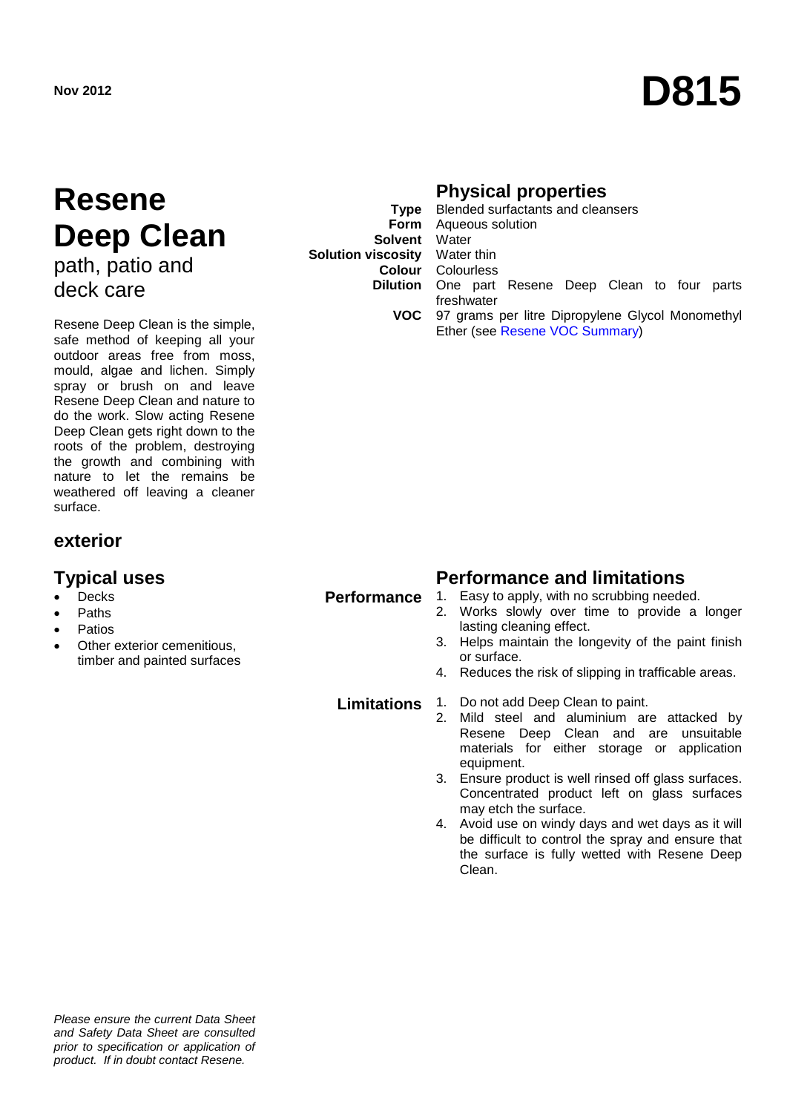# Nov 2012<br>**D815**

## **Resene Deep Clean**

path, patio and deck care

Resene Deep Clean is the simple, safe method of keeping all your outdoor areas free from moss, mould, algae and lichen. Simply spray or brush on and leave Resene Deep Clean and nature to do the work. Slow acting Resene Deep Clean gets right down to the roots of the problem, destroying the growth and combining with nature to let the remains be weathered off leaving a cleaner surface.

### **exterior**

- **Decks**
- Paths
- **Patios**
- Other exterior cemenitious. timber and painted surfaces

## **Physical properties**

|                                      | <b>Type</b> Blended surfactants and cleansers               |
|--------------------------------------|-------------------------------------------------------------|
|                                      | Form Aqueous solution                                       |
| <b>Solvent</b> Water                 |                                                             |
| <b>Solution viscosity</b> Water thin |                                                             |
|                                      | <b>Colour</b> Colourless                                    |
|                                      | <b>Dilution</b> One part Resene Deep Clean to four parts    |
|                                      | freshwater                                                  |
|                                      | <b>VOC</b> 97 grams per litre Dipropylene Glycol Monomethyl |
|                                      | Ether (see Resene VOC Summary)                              |

## **Typical uses**<br>**Performance** 1. Easy to apply, with no scrubbing needs<br>**Performance** 1. Easy to apply, with no scrubbing needs

- 1. Easy to apply, with no scrubbing needed.<br>2. Works slowly over time to provide a
- Works slowly over time to provide a longer lasting cleaning effect.
- 3. Helps maintain the longevity of the paint finish or surface.
- 4. Reduces the risk of slipping in trafficable areas.

- **Limitations** 1. Do not add Deep Clean to paint.
	- 2. Mild steel and aluminium are attacked by Resene Deep Clean and are unsuitable materials for either storage or application equipment.
	- 3. Ensure product is well rinsed off glass surfaces. Concentrated product left on glass surfaces may etch the surface.
	- 4. Avoid use on windy days and wet days as it will be difficult to control the spray and ensure that the surface is fully wetted with Resene Deep Clean.